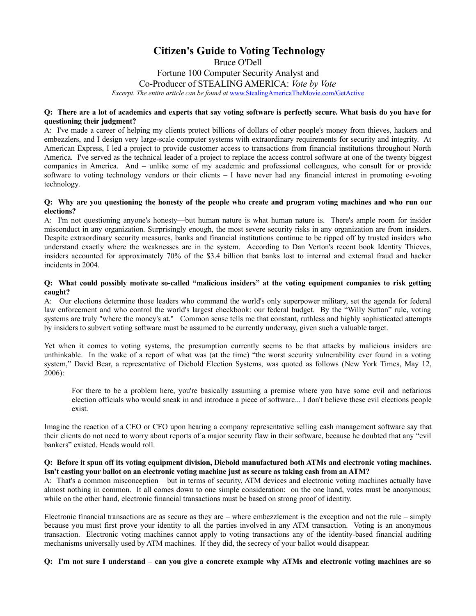# **Citizen's Guide to Voting Technology** Bruce O'Dell Fortune 100 Computer Security Analyst and

Co-Producer of STEALING AMERICA: *Vote by Vote*

*Excerpt. The entire article can be found at* [www.StealingAmericaTheMovie.com/GetActive](http://www.StealingAmericaTheMovie.com/GetActive)

# **Q: There are a lot of academics and experts that say voting software is perfectly secure. What basis do you have for questioning their judgment?**

A: I've made a career of helping my clients protect billions of dollars of other people's money from thieves, hackers and embezzlers, and I design very large-scale computer systems with extraordinary requirements for security and integrity. At American Express, I led a project to provide customer access to transactions from financial institutions throughout North America. I've served as the technical leader of a project to replace the access control software at one of the twenty biggest companies in America. And – unlike some of my academic and professional colleagues, who consult for or provide software to voting technology vendors or their clients – I have never had any financial interest in promoting e-voting technology.

# **Q: Why are you questioning the honesty of the people who create and program voting machines and who run our elections?**

A: I'm not questioning anyone's honesty—but human nature is what human nature is. There's ample room for insider misconduct in any organization. Surprisingly enough, the most severe security risks in any organization are from insiders. Despite extraordinary security measures, banks and financial institutions continue to be ripped off by trusted insiders who understand exactly where the weaknesses are in the system. According to Dan Verton's recent book Identity Thieves, insiders accounted for approximately 70% of the \$3.4 billion that banks lost to internal and external fraud and hacker incidents in 2004.

# **Q: What could possibly motivate so-called "malicious insiders" at the voting equipment companies to risk getting caught?**

A: Our elections determine those leaders who command the world's only superpower military, set the agenda for federal law enforcement and who control the world's largest checkbook: our federal budget. By the "Willy Sutton" rule, voting systems are truly "where the money's at." Common sense tells me that constant, ruthless and highly sophisticated attempts by insiders to subvert voting software must be assumed to be currently underway, given such a valuable target.

Yet when it comes to voting systems, the presumption currently seems to be that attacks by malicious insiders are unthinkable. In the wake of a report of what was (at the time) "the worst security vulnerability ever found in a voting system," David Bear, a representative of Diebold Election Systems, was quoted as follows (New York Times, May 12, 2006):

For there to be a problem here, you're basically assuming a premise where you have some evil and nefarious election officials who would sneak in and introduce a piece of software... I don't believe these evil elections people exist.

Imagine the reaction of a CEO or CFO upon hearing a company representative selling cash management software say that their clients do not need to worry about reports of a major security flaw in their software, because he doubted that any "evil bankers" existed. Heads would roll.

# **Q: Before it spun off its voting equipment division, Diebold manufactured both ATMs and electronic voting machines. Isn't casting your ballot on an electronic voting machine just as secure as taking cash from an ATM?**

A: That's a common misconception – but in terms of security, ATM devices and electronic voting machines actually have almost nothing in common. It all comes down to one simple consideration: on the one hand, votes must be anonymous; while on the other hand, electronic financial transactions must be based on strong proof of identity.

Electronic financial transactions are as secure as they are – where embezzlement is the exception and not the rule – simply because you must first prove your identity to all the parties involved in any ATM transaction. Voting is an anonymous transaction. Electronic voting machines cannot apply to voting transactions any of the identity-based financial auditing mechanisms universally used by ATM machines. If they did, the secrecy of your ballot would disappear.

# **Q: I'm not sure I understand – can you give a concrete example why ATMs and electronic voting machines are so**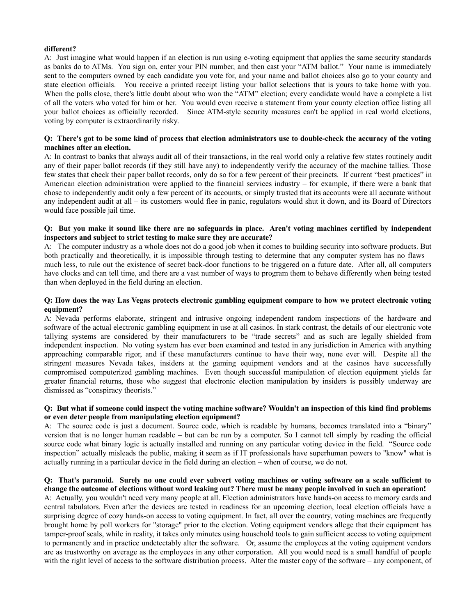# **different?**

A: Just imagine what would happen if an election is run using e-voting equipment that applies the same security standards as banks do to ATMs. You sign on, enter your PIN number, and then cast your "ATM ballot." Your name is immediately sent to the computers owned by each candidate you vote for, and your name and ballot choices also go to your county and state election officials. You receive a printed receipt listing your ballot selections that is yours to take home with you. When the polls close, there's little doubt about who won the "ATM" election; every candidate would have a complete a list of all the voters who voted for him or her. You would even receive a statement from your county election office listing all your ballot choices as officially recorded. Since ATM-style security measures can't be applied in real world elections, voting by computer is extraordinarily risky.

#### **Q: There's got to be some kind of process that election administrators use to double-check the accuracy of the voting machines after an election.**

A: In contrast to banks that always audit all of their transactions, in the real world only a relative few states routinely audit any of their paper ballot records (if they still have any) to independently verify the accuracy of the machine tallies. Those few states that check their paper ballot records, only do so for a few percent of their precincts. If current "best practices" in American election administration were applied to the financial services industry – for example, if there were a bank that chose to independently audit only a few percent of its accounts, or simply trusted that its accounts were all accurate without any independent audit at all – its customers would flee in panic, regulators would shut it down, and its Board of Directors would face possible jail time.

# **Q: But you make it sound like there are no safeguards in place. Aren't voting machines certified by independent inspectors and subject to strict testing to make sure they are accurate?**

A: The computer industry as a whole does not do a good job when it comes to building security into software products. But both practically and theoretically, it is impossible through testing to determine that any computer system has no flaws – much less, to rule out the existence of secret back-door functions to be triggered on a future date. After all, all computers have clocks and can tell time, and there are a vast number of ways to program them to behave differently when being tested than when deployed in the field during an election.

# **Q: How does the way Las Vegas protects electronic gambling equipment compare to how we protect electronic voting equipment?**

A: Nevada performs elaborate, stringent and intrusive ongoing independent random inspections of the hardware and software of the actual electronic gambling equipment in use at all casinos. In stark contrast, the details of our electronic vote tallying systems are considered by their manufacturers to be "trade secrets" and as such are legally shielded from independent inspection. No voting system has ever been examined and tested in any jurisdiction in America with anything approaching comparable rigor, and if these manufacturers continue to have their way, none ever will. Despite all the stringent measures Nevada takes, insiders at the gaming equipment vendors and at the casinos have successfully compromised computerized gambling machines. Even though successful manipulation of election equipment yields far greater financial returns, those who suggest that electronic election manipulation by insiders is possibly underway are dismissed as "conspiracy theorists."

# **Q: But what if someone could inspect the voting machine software? Wouldn't an inspection of this kind find problems or even deter people from manipulating election equipment?**

A: The source code is just a document. Source code, which is readable by humans, becomes translated into a "binary" version that is no longer human readable – but can be run by a computer. So I cannot tell simply by reading the official source code what binary logic is actually installed and running on any particular voting device in the field. "Source code inspection" actually misleads the public, making it seem as if IT professionals have superhuman powers to "know" what is actually running in a particular device in the field during an election – when of course, we do not.

# **Q: That's paranoid. Surely no one could ever subvert voting machines or voting software on a scale sufficient to change the outcome of elections without word leaking out? There must be many people involved in such an operation!**

A: Actually, you wouldn't need very many people at all. Election administrators have hands-on access to memory cards and central tabulators. Even after the devices are tested in readiness for an upcoming election, local election officials have a surprising degree of cozy hands-on access to voting equipment. In fact, all over the country, voting machines are frequently brought home by poll workers for "storage" prior to the election. Voting equipment vendors allege that their equipment has tamper-proof seals, while in reality, it takes only minutes using household tools to gain sufficient access to voting equipment to permanently and in practice undetectably alter the software. Or, assume the employees at the voting equipment vendors are as trustworthy on average as the employees in any other corporation. All you would need is a small handful of people with the right level of access to the software distribution process. Alter the master copy of the software – any component, of